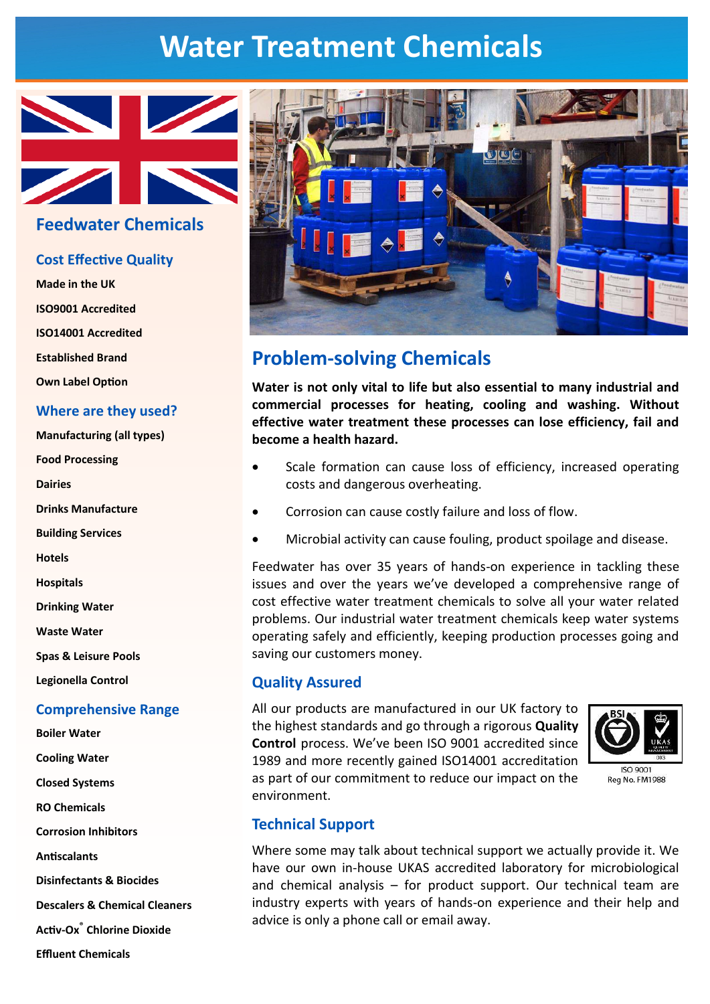# **Water Treatment Chemicals**



# **Feedwater Chemicals**

## **Cost Effective Quality**

Made in the UK **ISO9001 Accredited ISO14001 Accredited Established Brand Own Label Option** Where are they used? **Manufacturing (all types) Food Processing Dairies Drinks Manufacture Building Services Hotels Hospitals Drinking Water Waste Water Spas & Leisure Pools** Legionella Control **Comprehensive Range Boiler Water Cooling Water Closed Systems RO Chemicals Corrosion Inhibitors Antiscalants Disinfectants & Biocides Descalers & Chemical Cleaners Activ-Ox<sup>®</sup>** Chlorine Dioxide **Effluent Chemicals** 



# **Problem-solving Chemicals**

Water is not only vital to life but also essential to many industrial and commercial processes for heating, cooling and washing. Without effective water treatment these processes can lose efficiency, fail and become a health hazard.

- Scale formation can cause loss of efficiency, increased operating costs and dangerous overheating.
- Corrosion can cause costly failure and loss of flow.
- Microbial activity can cause fouling, product spoilage and disease.

Feedwater has over 35 years of hands-on experience in tackling these issues and over the vears we've developed a comprehensive range of cost effective water treatment chemicals to solve all your water related problems. Our industrial water treatment chemicals keep water systems operating safely and efficiently, keeping production processes going and saving our customers money.

### **Quality Assured**

All our products are manufactured in our UK factory to the highest standards and go through a rigorous Quality Control process. We've been ISO 9001 accredited since 1989 and more recently gained ISO14001 accreditation as part of our commitment to reduce our impact on the environment.



# **Technical Support**

Where some may talk about technical support we actually provide it. We have our own in-house UKAS accredited laboratory for microbiological and chemical analysis - for product support. Our technical team are industry experts with years of hands-on experience and their help and advice is only a phone call or email away.